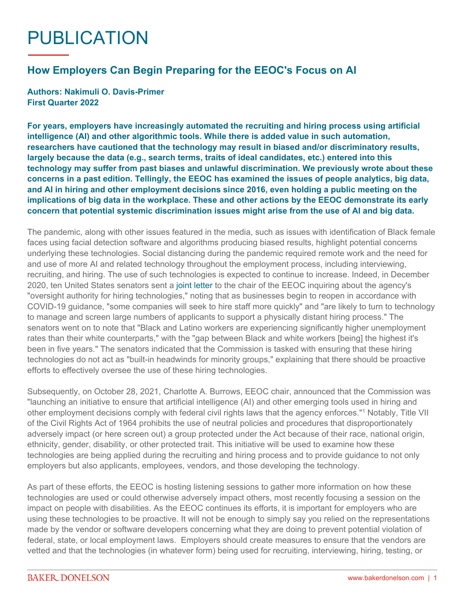## PUBLICATION

## **How Employers Can Begin Preparing for the EEOC's Focus on AI**

**Authors: Nakimuli O. Davis-Primer First Quarter 2022**

**For years, employers have increasingly automated the recruiting and hiring process using artificial intelligence (AI) and other algorithmic tools. While there is added value in such automation, researchers have cautioned that the technology may result in biased and/or discriminatory results, largely because the data (e.g., search terms, traits of ideal candidates, etc.) entered into this technology may suffer from past biases and unlawful discrimination. We previously wrote about these concerns in a [past edition.](https://www.bakerdonelson.com/artificial-intelligence-and-bias-considerations-to-prevent-bias-and-mitigate-legal-risk-of-employers) Tellingly, the EEOC has examined the issues of people analytics, big data, and AI in hiring and other employment decisions since 2016, even holding a public meeting on the implications of big data in the workplace. These and other actions by the EEOC demonstrate its early concern that potential systemic discrimination issues might arise from the use of AI and big data.**

The pandemic, along with other issues featured in the media, such as issues with identification of Black female faces using facial detection software and algorithms producing biased results, highlight potential concerns underlying these technologies. Social distancing during the pandemic required remote work and the need for and use of more AI and related technology throughout the employment process, including interviewing, recruiting, and hiring. The use of such technologies is expected to continue to increase. Indeed, in December 2020, ten United States senators sent a [joint letter](https://www.bennet.senate.gov/public/_cache/files/0/a/0a439d4b-e373-4451-84ed-ba333ce6d1dd/672D2E4304D63A04CC3465C3C8BF1D21.letter-to-chair-dhillon.pdf) to the chair of the EEOC inquiring about the agency's "oversight authority for hiring technologies," noting that as businesses begin to reopen in accordance with COVID-19 guidance, "some companies will seek to hire staff more quickly" and "are likely to turn to technology to manage and screen large numbers of applicants to support a physically distant hiring process." The senators went on to note that "Black and Latino workers are experiencing significantly higher unemployment rates than their white counterparts," with the "gap between Black and white workers [being] the highest it's been in five years." The senators indicated that the Commission is tasked with ensuring that these hiring technologies do not act as "built-in headwinds for minority groups," explaining that there should be proactive efforts to effectively oversee the use of these hiring technologies.

Subsequently, on October 28, 2021, Charlotte A. Burrows, EEOC chair, announced that the Commission was "launching an initiative to ensure that artificial intelligence (AI) and other emerging tools used in hiring and other employment decisions comply with federal civil rights laws that the agency enforces."1 Notably, Title VII of the Civil Rights Act of 1964 prohibits the use of neutral policies and procedures that disproportionately adversely impact (or here screen out) a group protected under the Act because of their race, national origin, ethnicity, gender, disability, or other protected trait. This initiative will be used to examine how these technologies are being applied during the recruiting and hiring process and to provide guidance to not only employers but also applicants, employees, vendors, and those developing the technology.

As part of these efforts, the EEOC is hosting listening sessions to gather more information on how these technologies are used or could otherwise adversely impact others, most recently focusing a session on the impact on people with disabilities. As the EEOC continues its efforts, it is important for employers who are using these technologies to be proactive. It will not be enough to simply say you relied on the representations made by the vendor or software developers concerning what they are doing to prevent potential violation of federal, state, or local employment laws. Employers should create measures to ensure that the vendors are vetted and that the technologies (in whatever form) being used for recruiting, interviewing, hiring, testing, or